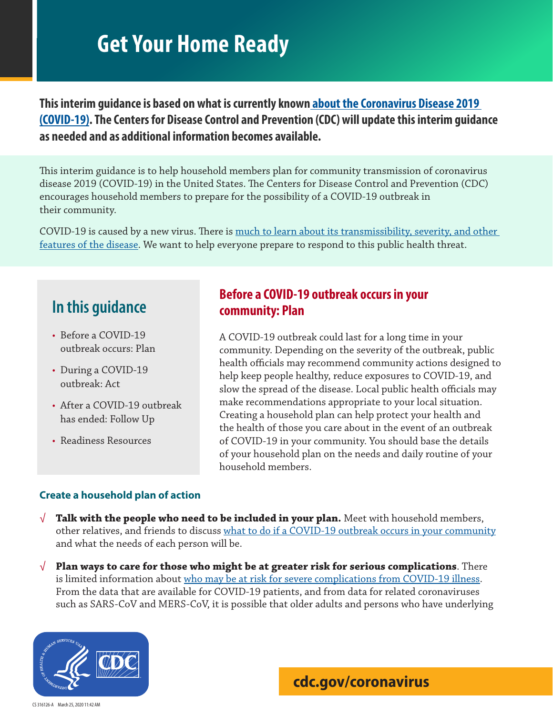# **Get Your Home Ready**

**This interim guidance is based on what is currently known [about the Coronavirus Disease 2019](https://www.cdc.gov/coronavirus/2019-ncov/about/index.html)  [\(COVID-19\).](https://www.cdc.gov/coronavirus/2019-ncov/about/index.html) The Centers for Disease Control and Prevention (CDC) will update this interim guidance as needed and as additional information becomes available.**

This interim guidance is to help household members plan for community transmission of coronavirus disease 2019 (COVID-19) in the United States. The Centers for Disease Control and Prevention (CDC) encourages household members to prepare for the possibility of a COVID-19 outbreak in their community.

COVID-19 is caused by a new virus. There is much to learn about its transmissibility, severity, and other [features of the disease.](https://www.cdc.gov/coronavirus/2019-ncov/about/transmission.html) We want to help everyone prepare to respond to this public health threat.

# **In this guidance**

- Before a COVID-19 outbreak occurs: Plan
- During a COVID-19 outbreak: Act
- After a COVID-19 outbreak has ended: Follow Up
- Readiness Resources

# **Before a COVID-19 outbreak occurs in your community: Plan**

A COVID-19 outbreak could last for a long time in your community. Depending on the severity of the outbreak, public health officials may recommend community actions designed to help keep people healthy, reduce exposures to COVID-19, and slow the spread of the disease. Local public health officials may make recommendations appropriate to your local situation. Creating a household plan can help protect your health and the health of those you care about in the event of an outbreak of COVID-19 in your community. You should base the details of your household plan on the needs and daily routine of your household members.

#### **Create a household plan of action**

- √ **Talk with the people who need to be included in your plan.** Meet with household members, other relatives, and friends to discuss [what to do if a COVID-19 outbreak occurs in your community](https://www.cdc.gov/coronavirus/2019-ncov/cases-updates/summary.html?CDC_AA_refVal=https%3A%2F%2Fwww.cdc.gov%2Fcoronavirus%2F2019-ncov%2Fsummary.html) and what the needs of each person will be.
- √ **Plan ways to care for those who might be at greater risk for serious complications**. There is limited information about [who may be at risk for severe complications from COVID-19 illness](https://www.cdc.gov/coronavirus/2019-ncov/hcp/clinical-guidance-management-patients.html). From the data that are available for COVID-19 patients, and from data for related coronaviruses such as SARS-CoV and MERS-CoV, it is possible that older adults and persons who have underlying

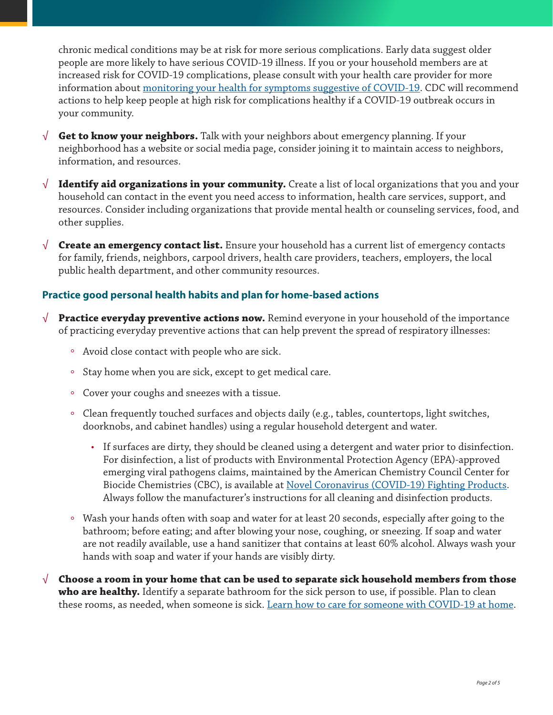chronic medical conditions may be at risk for more serious complications. Early data suggest older people are more likely to have serious COVID-19 illness. If you or your household members are at increased risk for COVID-19 complications, please consult with your health care provider for more information about [monitoring your health for symptoms suggestive of COVID-19](https://www.cdc.gov/coronavirus/2019-ncov/hcp/guidance-prevent-spread.html#precautions). CDC will recommend actions to help keep people at high risk for complications healthy if a COVID-19 outbreak occurs in your community.

- √ **Get to know your neighbors.** Talk with your neighbors about emergency planning. If your neighborhood has a website or social media page, consider joining it to maintain access to neighbors, information, and resources.
- √ **Identify aid organizations in your community.** Create a list of local organizations that you and your household can contact in the event you need access to information, health care services, support, and resources. Consider including organizations that provide mental health or counseling services, food, and other supplies.
- √ **Create an emergency contact list.** Ensure your household has a current list of emergency contacts for family, friends, neighbors, carpool drivers, health care providers, teachers, employers, the local public health department, and other community resources.

#### **Practice good personal health habits and plan for home-based actions**

- √ **Practice everyday preventive actions now.** Remind everyone in your household of the importance of practicing everyday preventive actions that can help prevent the spread of respiratory illnesses:
	- Avoid close contact with people who are sick.
	- <sup>o</sup> Stay home when you are sick, except to get medical care.
	- Cover your coughs and sneezes with a tissue.
	- Clean frequently touched surfaces and objects daily (e.g., tables, countertops, light switches, doorknobs, and cabinet handles) using a regular household detergent and water.
		- If surfaces are dirty, they should be cleaned using a detergent and water prior to disinfection. For disinfection, a list of products with Environmental Protection Agency (EPA)-approved emerging viral pathogens claims, maintained by the American Chemistry Council Center for Biocide Chemistries (CBC), is available at [Novel Coronavirus \(COVID-19\) Fighting Products](https://www.americanchemistry.com/Novel-Coronavirus-Fighting-Products-List.pdf). Always follow the manufacturer's instructions for all cleaning and disinfection products.
	- $\degree$  Wash your hands often with soap and water for at least 20 seconds, especially after going to the bathroom; before eating; and after blowing your nose, coughing, or sneezing. If soap and water are not readily available, use a hand sanitizer that contains at least 60% alcohol. Always wash your hands with soap and water if your hands are visibly dirty.
- √ **Choose a room in your home that can be used to separate sick household members from those who are healthy.** Identify a separate bathroom for the sick person to use, if possible. Plan to clean these rooms, as needed, when someone is sick. [Learn how to care for someone with COVID-19 at home.](https://www.cdc.gov/coronavirus/2019-ncov/hcp/guidance-prevent-spread.html)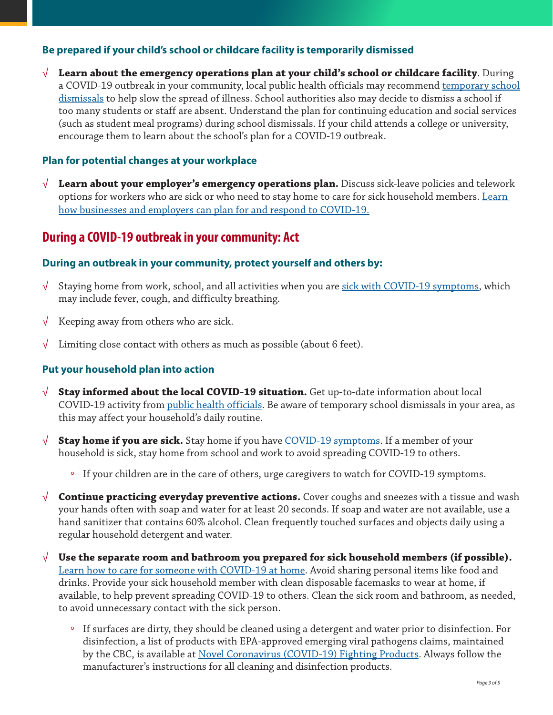#### **Be prepared if your child's school or childcare facility is temporarily dismissed**

√ **Learn about the emergency operations plan at your child's school or childcare facility**. During a COVID-19 outbreak in your community, local public health officials may recommend temporary school [dismissal](https://www.cdc.gov/coronavirus/2019-ncov/community/schools-childcare/guidance-for-schools.html?CDC_AA_refVal=https%3A%2F%2Fwww.cdc.gov%2Fcoronavirus%2F2019-ncov%2Fspecific-groups%2Fguidance-for-schools.html)s to help slow the spread of illness. School authorities also may decide to dismiss a school if too many students or staff are absent. Understand the plan for continuing education and social services (such as student meal programs) during school dismissals. If your child attends a college or university, encourage them to learn about the school's plan for a COVID-19 outbreak.

#### **Plan for potential changes at your workplace**

√ **Learn about your employer's emergency operations plan.** Discuss sick-leave policies and telework options for workers who are sick or who need to stay home to care for sick household members. Learn [how businesses and employers can plan for and respond to COVID-19.](https://www.cdc.gov/coronavirus/2019-ncov/community/guidance-business-response.html?CDC_AA_refVal=https%3A%2F%2Fwww.cdc.gov%2Fcoronavirus%2F2019-ncov%2Fspecific-groups%2Fguidance-business-response.html)

# **During a COVID-19 outbreak in your community: Act**

#### **During an outbreak in your community, protect yourself and others by:**

- √ Staying home from work, school, and all activities when you are [sick with COVID-19 symptoms](https://www.cdc.gov/coronavirus/2019-ncov/symptoms-testing/symptoms.html?CDC_AA_refVal=https%3A%2F%2Fwww.cdc.gov%2Fcoronavirus%2F2019-ncov%2Fabout%2Fsymptoms.html), which may include fever, cough, and difficulty breathing.
- $\sqrt{\phantom{a}}$  Keeping away from others who are sick.
- $\sqrt{\frac{1}{1}}$  Limiting close contact with others as much as possible (about 6 feet).

#### **Put your household plan into action**

- √ **Stay informed about the local COVID-19 situation.** Get up-to-date information about local COVID-19 activity from [public health officials](https://www.naccho.org/membership/lhd-directory). Be aware of temporary school dismissals in your area, as this may affect your household's daily routine.
- √ **Stay home if you are sick.** Stay home if you have [COVID-19 symptoms.](https://www.cdc.gov/coronavirus/2019-ncov/symptoms-testing/symptoms.html?CDC_AA_refVal=https%3A%2F%2Fwww.cdc.gov%2Fcoronavirus%2F2019-ncov%2Fabout%2Fsymptoms.html) If a member of your household is sick, stay home from school and work to avoid spreading COVID-19 to others.
	- If your children are in the care of others, urge caregivers to watch for COVID-19 symptoms.
- √ **Continue practicing everyday preventive actions.** Cover coughs and sneezes with a tissue and wash your hands often with soap and water for at least 20 seconds. If soap and water are not available, use a hand sanitizer that contains 60% alcohol. Clean frequently touched surfaces and objects daily using a regular household detergent and water.
- √ **Use the separate room and bathroom you prepared for sick household members (if possible).** [Learn how to care for someone with COVID-19 at home.](https://www.cdc.gov/coronavirus/2019-ncov/hcp/guidance-prevent-spread.html) Avoid sharing personal items like food and drinks. Provide your sick household member with clean disposable facemasks to wear at home, if available, to help prevent spreading COVID-19 to others. Clean the sick room and bathroom, as needed, to avoid unnecessary contact with the sick person.
	- $\circ$  If surfaces are dirty, they should be cleaned using a detergent and water prior to disinfection. For disinfection, a list of products with EPA-approved emerging viral pathogens claims, maintained by the CBC, is available at [Novel Coronavirus \(COVID-19\) Fighting Products.](https://www.americanchemistry.com/Novel-Coronavirus-Fighting-Products-List.pdf) Always follow the manufacturer's instructions for all cleaning and disinfection products.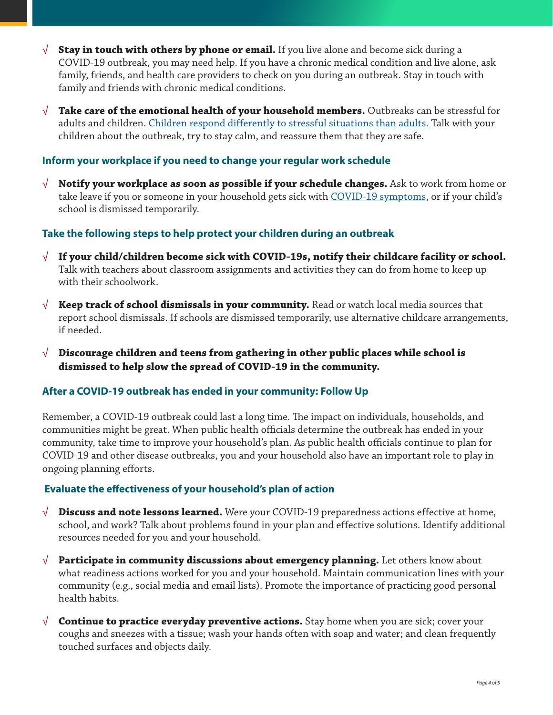- $\sqrt{\phantom{a}}$  **Stay in touch with others by phone or email.** If you live alone and become sick during a COVID-19 outbreak, you may need help. If you have a chronic medical condition and live alone, ask family, friends, and health care providers to check on you during an outbreak. Stay in touch with family and friends with chronic medical conditions.
- √ **Take care of the emotional health of your household members.** Outbreaks can be stressful for adults and children. [Children respond differently to stressful situations than adults.](https://www.cdc.gov/childrenindisasters/helping-children-cope.html) Talk with your children about the outbreak, try to stay calm, and reassure them that they are safe.

#### **Inform your workplace if you need to change your regular work schedule**

√ **Notify your workplace as soon as possible if your schedule changes.** Ask to work from home or take leave if you or someone in your household gets sick with [COVID-19 symptoms,](https://www.cdc.gov/coronavirus/2019-ncov/symptoms-testing/symptoms.html?CDC_AA_refVal=https%3A%2F%2Fwww.cdc.gov%2Fcoronavirus%2F2019-ncov%2Fabout%2Fsymptoms.html) or if your child's school is dismissed temporarily.

#### **Take the following steps to help protect your children during an outbreak**

- √ **If your child/children become sick with COVID-19s, notify their childcare facility or school.** Talk with teachers about classroom assignments and activities they can do from home to keep up with their schoolwork.
- √ **Keep track of school dismissals in your community.** Read or watch local media sources that report school dismissals. If schools are dismissed temporarily, use alternative childcare arrangements, if needed.
- √ **Discourage children and teens from gathering in other public places while school is dismissed to help slow the spread of COVID-19 in the community.**

#### **After a COVID-19 outbreak has ended in your community: Follow Up**

Remember, a COVID-19 outbreak could last a long time. The impact on individuals, households, and communities might be great. When public health officials determine the outbreak has ended in your community, take time to improve your household's plan. As public health officials continue to plan for COVID-19 and other disease outbreaks, you and your household also have an important role to play in ongoing planning efforts.

#### **Evaluate the effectiveness of your household's plan of action**

- √ **Discuss and note lessons learned.** Were your COVID-19 preparedness actions effective at home, school, and work? Talk about problems found in your plan and effective solutions. Identify additional resources needed for you and your household.
- √ **Participate in community discussions about emergency planning.** Let others know about what readiness actions worked for you and your household. Maintain communication lines with your community (e.g., social media and email lists). Promote the importance of practicing good personal health habits.
- √ **Continue to practice everyday preventive actions.** Stay home when you are sick; cover your coughs and sneezes with a tissue; wash your hands often with soap and water; and clean frequently touched surfaces and objects daily.